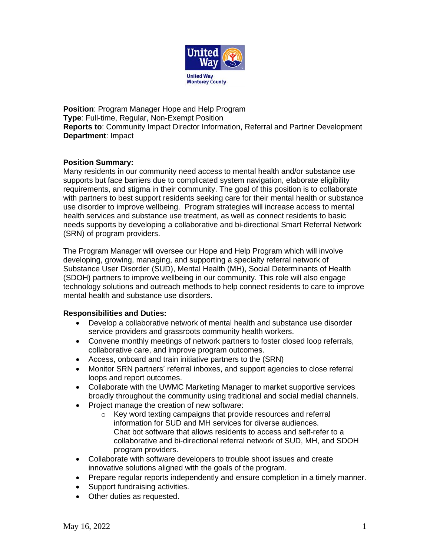

**Position: Program Manager Hope and Help Program Type**: Full-time, Regular, Non-Exempt Position **Reports to**: Community Impact Director Information, Referral and Partner Development **Department**: Impact

### **Position Summary:**

Many residents in our community need access to mental health and/or substance use supports but face barriers due to complicated system navigation, elaborate eligibility requirements, and stigma in their community. The goal of this position is to collaborate with partners to best support residents seeking care for their mental health or substance use disorder to improve wellbeing. Program strategies will increase access to mental health services and substance use treatment, as well as connect residents to basic needs supports by developing a collaborative and bi-directional Smart Referral Network (SRN) of program providers.

The Program Manager will oversee our Hope and Help Program which will involve developing, growing, managing, and supporting a specialty referral network of Substance User Disorder (SUD), Mental Health (MH), Social Determinants of Health (SDOH) partners to improve wellbeing in our community. This role will also engage technology solutions and outreach methods to help connect residents to care to improve mental health and substance use disorders.

### **Responsibilities and Duties:**

- Develop a collaborative network of mental health and substance use disorder service providers and grassroots community health workers.
- Convene monthly meetings of network partners to foster closed loop referrals, collaborative care, and improve program outcomes.
- Access, onboard and train initiative partners to the (SRN)
- Monitor SRN partners' referral inboxes, and support agencies to close referral loops and report outcomes.
- Collaborate with the UWMC Marketing Manager to market supportive services broadly throughout the community using traditional and social medial channels.
- Project manage the creation of new software:
	- o Key word texting campaigns that provide resources and referral information for SUD and MH services for diverse audiences. Chat bot software that allows residents to access and self-refer to a collaborative and bi-directional referral network of SUD, MH, and SDOH program providers.
- Collaborate with software developers to trouble shoot issues and create innovative solutions aligned with the goals of the program.
- Prepare regular reports independently and ensure completion in a timely manner.
- Support fundraising activities.
- Other duties as requested.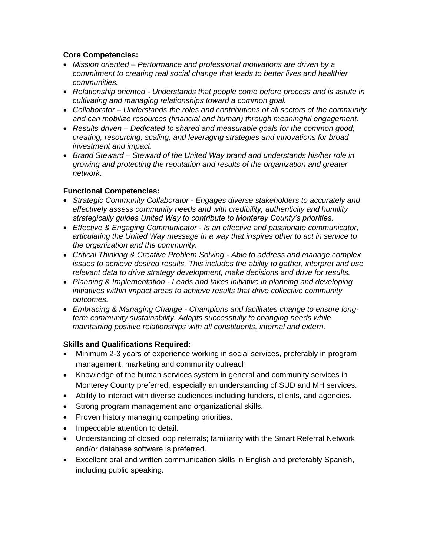# **Core Competencies:**

- *Mission oriented – Performance and professional motivations are driven by a commitment to creating real social change that leads to better lives and healthier communities.*
- *Relationship oriented - Understands that people come before process and is astute in cultivating and managing relationships toward a common goal.*
- *Collaborator – Understands the roles and contributions of all sectors of the community and can mobilize resources (financial and human) through meaningful engagement.*
- *Results driven – Dedicated to shared and measurable goals for the common good; creating, resourcing, scaling, and leveraging strategies and innovations for broad investment and impact.*
- *Brand Steward – Steward of the United Way brand and understands his/her role in growing and protecting the reputation and results of the organization and greater network*.

# **Functional Competencies:**

- *Strategic Community Collaborator - Engages diverse stakeholders to accurately and effectively assess community needs and with credibility, authenticity and humility strategically guides United Way to contribute to Monterey County's priorities.*
- *Effective & Engaging Communicator - Is an effective and passionate communicator, articulating the United Way message in a way that inspires other to act in service to the organization and the community.*
- *Critical Thinking & Creative Problem Solving - Able to address and manage complex issues to achieve desired results. This includes the ability to gather, interpret and use relevant data to drive strategy development, make decisions and drive for results.*
- *Planning & Implementation - Leads and takes initiative in planning and developing initiatives within impact areas to achieve results that drive collective community outcomes.*
- *Embracing & Managing Change - Champions and facilitates change to ensure longterm community sustainability. Adapts successfully to changing needs while maintaining positive relationships with all constituents, internal and extern.*

### **Skills and Qualifications Required:**

- Minimum 2-3 years of experience working in social services, preferably in program management, marketing and community outreach
- Knowledge of the human services system in general and community services in Monterey County preferred, especially an understanding of SUD and MH services.
- Ability to interact with diverse audiences including funders, clients, and agencies.
- Strong program management and organizational skills.
- Proven history managing competing priorities.
- Impeccable attention to detail.
- Understanding of closed loop referrals; familiarity with the Smart Referral Network and/or database software is preferred.
- Excellent oral and written communication skills in English and preferably Spanish, including public speaking.